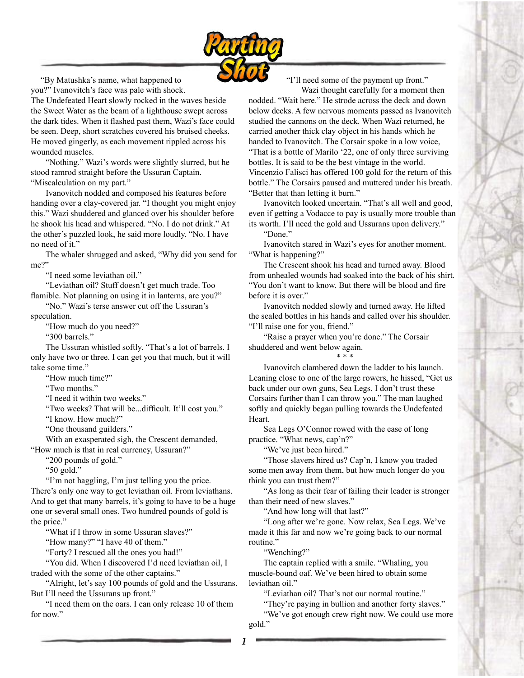

 "By Matushka's name, what happened to you?" Ivanovitch's face was pale with shock.

The Undefeated Heart slowly rocked in the waves beside the Sweet Water as the beam of a lighthouse swept across the dark tides. When it flashed past them, Wazi's face could be seen. Deep, short scratches covered his bruised cheeks. He moved gingerly, as each movement rippled across his wounded muscles.

 "Nothing." Wazi's words were slightly slurred, but he stood ramrod straight before the Ussuran Captain. "Miscalculation on my part."

 Ivanovitch nodded and composed his features before handing over a clay-covered jar. "I thought you might enjoy this." Wazi shuddered and glanced over his shoulder before he shook his head and whispered. "No. I do not drink." At the other's puzzled look, he said more loudly. "No. I have no need of it."

 The whaler shrugged and asked, "Why did you send for me?"

"I need some leviathan oil."

 "Leviathan oil? Stuff doesn't get much trade. Too flamible. Not planning on using it in lanterns, are you?"

 "No." Wazi's terse answer cut off the Ussuran's speculation.

"How much do you need?"

"300 barrels."

 The Ussuran whistled softly. "That's a lot of barrels. I only have two or three. I can get you that much, but it will take some time."

"How much time?"

"Two months."

"I need it within two weeks."

"Two weeks? That will be...difficult. It'll cost you."

"I know. How much?"

"One thousand guilders."

 With an exasperated sigh, the Crescent demanded, "How much is that in real currency, Ussuran?"

"200 pounds of gold."

"50 gold."

 "I'm not haggling, I'm just telling you the price. There's only one way to get leviathan oil. From leviathans. And to get that many barrels, it's going to have to be a huge one or several small ones. Two hundred pounds of gold is the price."

"What if I throw in some Ussuran slaves?"

"How many?" "I have 40 of them."

"Forty? I rescued all the ones you had!"

 "You did. When I discovered I'd need leviathan oil, I traded with the some of the other captains."

 "Alright, let's say 100 pounds of gold and the Ussurans. But I'll need the Ussurans up front."

 "I need them on the oars. I can only release 10 of them for now."

"I'll need some of the payment up front."

 Wazi thought carefully for a moment then nodded. "Wait here." He strode across the deck and down below decks. A few nervous moments passed as Ivanovitch studied the cannons on the deck. When Wazi returned, he carried another thick clay object in his hands which he handed to Ivanovitch. The Corsair spoke in a low voice, "That is a bottle of Marilo '22, one of only three surviving bottles. It is said to be the best vintage in the world. Vincenzio Falisci has offered 100 gold for the return of this bottle." The Corsairs paused and muttered under his breath. "Better that than letting it burn."

 Ivanovitch looked uncertain. "That's all well and good, even if getting a Vodacce to pay is usually more trouble than its worth. I'll need the gold and Ussurans upon delivery."

"Done."

 Ivanovitch stared in Wazi's eyes for another moment. "What is happening?"

 The Crescent shook his head and turned away. Blood from unhealed wounds had soaked into the back of his shirt. "You don't want to know. But there will be blood and fire before it is over."

 Ivanovitch nodded slowly and turned away. He lifted the sealed bottles in his hands and called over his shoulder. "I'll raise one for you, friend."

 "Raise a prayer when you're done." The Corsair shuddered and went below again.

## $* * *$

 Ivanovitch clambered down the ladder to his launch. Leaning close to one of the large rowers, he hissed, "Get us back under our own guns, Sea Legs. I don't trust these Corsairs further than I can throw you." The man laughed softly and quickly began pulling towards the Undefeated Heart.

 Sea Legs O'Connor rowed with the ease of long practice. "What news, cap'n?"

"We've just been hired."

 "Those slavers hired us? Cap'n, I know you traded some men away from them, but how much longer do you think you can trust them?"

 "As long as their fear of failing their leader is stronger than their need of new slaves."

"And how long will that last?"

 "Long after we're gone. Now relax, Sea Legs. We've made it this far and now we're going back to our normal routine."

"Wenching?"

 The captain replied with a smile. "Whaling, you muscle-bound oaf. We've been hired to obtain some leviathan oil."

"Leviathan oil? That's not our normal routine."

 "They're paying in bullion and another forty slaves." "We've got enough crew right now. We could use more gold."

*1*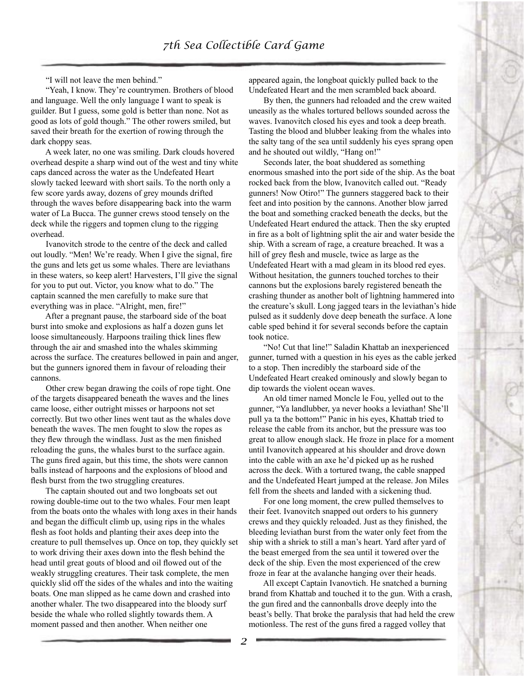"I will not leave the men behind."

 "Yeah, I know. They're countrymen. Brothers of blood and language. Well the only language I want to speak is guilder. But I guess, some gold is better than none. Not as good as lots of gold though." The other rowers smiled, but saved their breath for the exertion of rowing through the dark choppy seas.

 A week later, no one was smiling. Dark clouds hovered overhead despite a sharp wind out of the west and tiny white caps danced across the water as the Undefeated Heart slowly tacked leeward with short sails. To the north only a few score yards away, dozens of grey mounds drifted through the waves before disappearing back into the warm water of La Bucca. The gunner crews stood tensely on the deck while the riggers and topmen clung to the rigging overhead.

 Ivanovitch strode to the centre of the deck and called out loudly. "Men! We're ready. When I give the signal, fire the guns and lets get us some whales. There are leviathans in these waters, so keep alert! Harvesters, I'll give the signal for you to put out. Victor, you know what to do." The captain scanned the men carefully to make sure that everything was in place. "Alright, men, fire!"

 After a pregnant pause, the starboard side of the boat burst into smoke and explosions as half a dozen guns let loose simultaneously. Harpoons trailing thick lines flew through the air and smashed into the whales skimming across the surface. The creatures bellowed in pain and anger, but the gunners ignored them in favour of reloading their cannons.

 Other crew began drawing the coils of rope tight. One of the targets disappeared beneath the waves and the lines came loose, either outright misses or harpoons not set correctly. But two other lines went taut as the whales dove beneath the waves. The men fought to slow the ropes as they flew through the windlass. Just as the men finished reloading the guns, the whales burst to the surface again. The guns fired again, but this time, the shots were cannon balls instead of harpoons and the explosions of blood and flesh burst from the two struggling creatures.

 The captain shouted out and two longboats set out rowing double-time out to the two whales. Four men leapt from the boats onto the whales with long axes in their hands and began the difficult climb up, using rips in the whales flesh as foot holds and planting their axes deep into the creature to pull themselves up. Once on top, they quickly set to work driving their axes down into the flesh behind the head until great gouts of blood and oil flowed out of the weakly struggling creatures. Their task complete, the men quickly slid off the sides of the whales and into the waiting boats. One man slipped as he came down and crashed into another whaler. The two disappeared into the bloody surf beside the whale who rolled slightly towards them. A moment passed and then another. When neither one

appeared again, the longboat quickly pulled back to the Undefeated Heart and the men scrambled back aboard.

 By then, the gunners had reloaded and the crew waited uneasily as the whales tortured bellows sounded across the waves. Ivanovitch closed his eyes and took a deep breath. Tasting the blood and blubber leaking from the whales into the salty tang of the sea until suddenly his eyes sprang open and he shouted out wildly, "Hang on!"

 Seconds later, the boat shuddered as something enormous smashed into the port side of the ship. As the boat rocked back from the blow, Ivanovitch called out. "Ready gunners! Now Otiro!" The gunners staggered back to their feet and into position by the cannons. Another blow jarred the boat and something cracked beneath the decks, but the Undefeated Heart endured the attack. Then the sky erupted in fire as a bolt of lightning split the air and water beside the ship. With a scream of rage, a creature breached. It was a hill of grey flesh and muscle, twice as large as the Undefeated Heart with a mad gleam in its blood red eyes. Without hesitation, the gunners touched torches to their cannons but the explosions barely registered beneath the crashing thunder as another bolt of lightning hammered into the creature's skull. Long jagged tears in the leviathan's hide pulsed as it suddenly dove deep beneath the surface. A lone cable sped behind it for several seconds before the captain took notice.

 "No! Cut that line!" Saladin Khattab an inexperienced gunner, turned with a question in his eyes as the cable jerked to a stop. Then incredibly the starboard side of the Undefeated Heart creaked ominously and slowly began to dip towards the violent ocean waves.

 An old timer named Moncle le Fou, yelled out to the gunner, "Ya landlubber, ya never hooks a leviathan! She'll pull ya ta the bottom!" Panic in his eyes, Khattab tried to release the cable from its anchor, but the pressure was too great to allow enough slack. He froze in place for a moment until Ivanovitch appeared at his shoulder and drove down into the cable with an axe he'd picked up as he rushed across the deck. With a tortured twang, the cable snapped and the Undefeated Heart jumped at the release. Jon Miles fell from the sheets and landed with a sickening thud.

 For one long moment, the crew pulled themselves to their feet. Ivanovitch snapped out orders to his gunnery crews and they quickly reloaded. Just as they finished, the bleeding leviathan burst from the water only feet from the ship with a shriek to still a man's heart. Yard after yard of the beast emerged from the sea until it towered over the deck of the ship. Even the most experienced of the crew froze in fear at the avalanche hanging over their heads.

 All except Captain Ivanovtich. He snatched a burning brand from Khattab and touched it to the gun. With a crash, the gun fired and the cannonballs drove deeply into the beast's belly. That broke the paralysis that had held the crew motionless. The rest of the guns fired a ragged volley that

*2*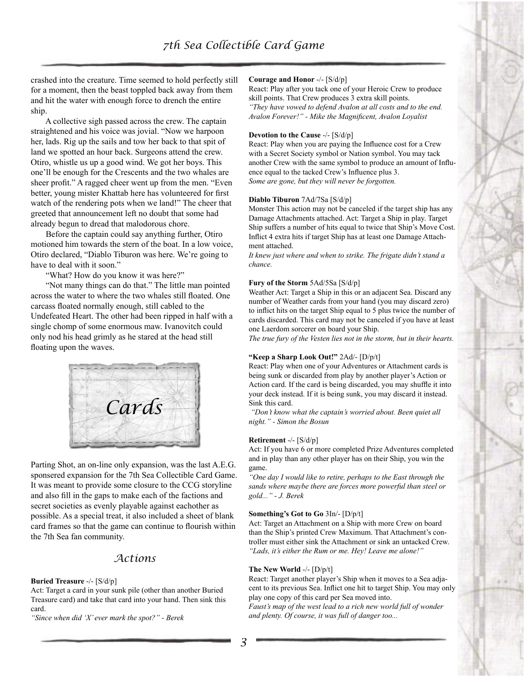crashed into the creature. Time seemed to hold perfectly still for a moment, then the beast toppled back away from them and hit the water with enough force to drench the entire ship.

 A collective sigh passed across the crew. The captain straightened and his voice was jovial. "Now we harpoon her, lads. Rig up the sails and tow her back to that spit of land we spotted an hour back. Surgeons attend the crew. Otiro, whistle us up a good wind. We got her boys. This one'll be enough for the Crescents and the two whales are sheer profit." A ragged cheer went up from the men. "Even better, young mister Khattab here has volunteered for first watch of the rendering pots when we land!" The cheer that greeted that announcement left no doubt that some had already begun to dread that malodorous chore.

 Before the captain could say anything further, Otiro motioned him towards the stern of the boat. In a low voice, Otiro declared, "Diablo Tiburon was here. We're going to have to deal with it soon."

"What? How do you know it was here?"

 "Not many things can do that." The little man pointed across the water to where the two whales still floated. One carcass floated normally enough, still cabled to the Undefeated Heart. The other had been ripped in half with a single chomp of some enormous maw. Ivanovitch could only nod his head grimly as he stared at the head still floating upon the waves.



Parting Shot, an on-line only expansion, was the last A.E.G. sponsered expansion for the 7th Sea Collectible Card Game. It was meant to provide some closure to the CCG storyline and also fill in the gaps to make each of the factions and secret societies as evenly playable against eachother as possible. As a special treat, it also included a sheet of blank card frames so that the game can continue to flourish within the 7th Sea fan community.

## *Actions*

#### **Buried Treasure** -/- [S/d/p]

Act: Target a card in your sunk pile (other than another Buried Treasure card) and take that card into your hand. Then sink this card.

*"Since when did 'X' ever mark the spot?" - Berek*

#### **Courage and Honor** -/- [S/d/p]

React: Play after you tack one of your Heroic Crew to produce skill points. That Crew produces 3 extra skill points. *"They have vowed to defend Avalon at all costs and to the end. Avalon Forever!" - Mike the Magnificent, Avalon Loyalist*

#### **Devotion to the Cause** -/- [S/d/p]

React: Play when you are paying the Influence cost for a Crew with a Secret Society symbol or Nation symbol. You may tack another Crew with the same symbol to produce an amount of Influence equal to the tacked Crew's Influence plus 3. *Some are gone, but they will never be forgotten.*

#### **Diablo Tiburon** 7Ad/7Sa [S/d/p]

Monster This action may not be canceled if the target ship has any Damage Attachments attached. Act: Target a Ship in play. Target Ship suffers a number of hits equal to twice that Ship's Move Cost. Inflict 4 extra hits if target Ship has at least one Damage Attachment attached.

*It knew just where and when to strike. The frigate didn't stand a chance.*

#### **Fury of the Storm** 5Ad/5Sa [S/d/p]

Weather Act: Target a Ship in this or an adjacent Sea. Discard any number of Weather cards from your hand (you may discard zero) to inflict hits on the target Ship equal to 5 plus twice the number of cards discarded. This card may not be canceled if you have at least one Laerdom sorcerer on board your Ship.

*The true fury of the Vesten lies not in the storm, but in their hearts.*

## **"Keep a Sharp Look Out!"** 2Ad/- [D/p/t]

React: Play when one of your Adventures or Attachment cards is being sunk or discarded from play by another player's Action or Action card. If the card is being discarded, you may shuffle it into your deck instead. If it is being sunk, you may discard it instead. Sink this card.

 *"Don't know what the captain's worried about. Been quiet all night." - Simon the Bosun*

#### **Retirement** -/- [S/d/p]

Act: If you have 6 or more completed Prize Adventures completed and in play than any other player has on their Ship, you win the game.

*"One day I would like to retire, perhaps to the East through the sands where maybe there are forces more powerful than steel or gold..." - J. Berek*

#### **Something's Got to Go** 3In/- [D/p/t]

Act: Target an Attachment on a Ship with more Crew on board than the Ship's printed Crew Maximum. That Attachment's controller must either sink the Attachment or sink an untacked Crew. *"Lads, it's either the Rum or me. Hey! Leave me alone!"*

#### **The New World** -/- [D/p/t]

React: Target another player's Ship when it moves to a Sea adjacent to its previous Sea. Inflict one hit to target Ship. You may only play one copy of this card per Sea moved into.

*Faust's map of the west lead to a rich new world full of wonder and plenty. Of course, it was full of danger too...*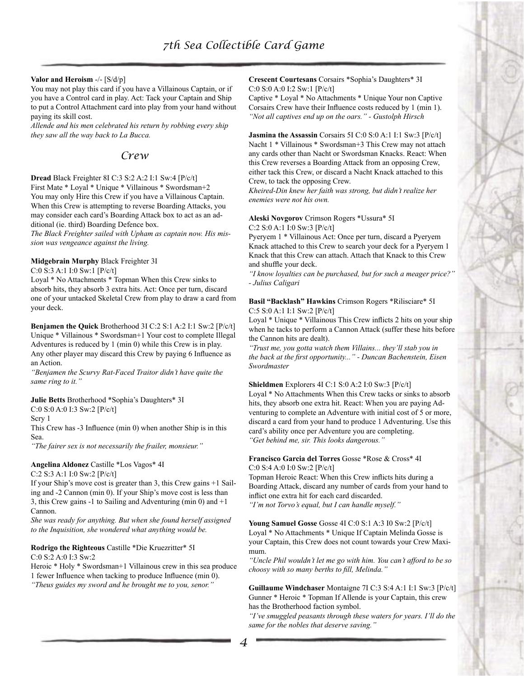## **Valor and Heroism** -/- [S/d/p]

You may not play this card if you have a Villainous Captain, or if you have a Control card in play. Act: Tack your Captain and Ship to put a Control Attachment card into play from your hand without paying its skill cost.

*Allende and his men celebrated his return by robbing every ship they saw all the way back to La Bucca.*

## *Crew*

## **Dread** Black Freighter 8I C:3 S:2 A:2 I:1 Sw:4 [P/c/t] First Mate \* Loyal \* Unique \* Villainous \* Swordsman+2 You may only Hire this Crew if you have a Villainous Captain. When this Crew is attempting to reverse Boarding Attacks, you may consider each card's Boarding Attack box to act as an additional (ie. third) Boarding Defence box.

*The Black Freighter sailed with Upham as captain now. His mission was vengeance against the living.*

## **Midgebrain Murphy** Black Freighter 3I

C:0 S:3 A:1 I:0 Sw:1 [P/c/t]

Loyal \* No Attachments \* Topman When this Crew sinks to absorb hits, they absorb 3 extra hits. Act: Once per turn, discard one of your untacked Skeletal Crew from play to draw a card from your deck.

**Benjamen the Quick** Brotherhood 3I C:2 S:1 A:2 I:1 Sw:2 [P/c/t] Unique \* Villainous \* Swordsman+1 Your cost to complete Illegal Adventures is reduced by 1 (min 0) while this Crew is in play. Any other player may discard this Crew by paying 6 Influence as an Action.

*"Benjamen the Scurvy Rat-Faced Traitor didn't have quite the same ring to it."*

#### **Julie Betts** Brotherhood \*Sophia's Daughters\* 3I

C:0 S:0 A:0 I:3 Sw:2 [P/c/t]

Scry 1

This Crew has -3 Influence (min 0) when another Ship is in this Sea.

*"The fairer sex is not necessarily the frailer, monsieur."*

## **Angelina Aldonez** Castille \*Los Vagos\* 4I C:2 S:3 A:1 I:0 Sw:2 [P/c/t]

If your Ship's move cost is greater than 3, this Crew gains +1 Sailing and -2 Cannon (min 0). If your Ship's move cost is less than 3, this Crew gains -1 to Sailing and Adventuring (min 0) and  $+1$ Cannon.

*She was ready for anything. But when she found herself assigned to the Inquisition, she wondered what anything would be.*

#### **Rodrigo the Righteous** Castille \*Die Kruezritter\* 5I C:0 S:2 A:0 I:3 Sw:2

Heroic \* Holy \* Swordsman+1 Villainous crew in this sea produce 1 fewer Influence when tacking to produce Influence (min 0). *"Theus guides my sword and he brought me to you, senor."*

## **Crescent Courtesans** Corsairs \*Sophia's Daughters\* 3I C:0 S:0 A:0 I:2 Sw:1 [P/c/t]

Captive \* Loyal \* No Attachments \* Unique Your non Captive Corsairs Crew have their Influence costs reduced by 1 (min 1). *"Not all captives end up on the oars." - Gustolph Hirsch*

**Jasmina the Assassin** Corsairs 5I C:0 S:0 A:1 I:1 Sw:3 [P/c/t] Nacht 1 \* Villainous \* Swordsman+3 This Crew may not attach any cards other than Nacht or Swordsman Knacks. React: When this Crew reverses a Boarding Attack from an opposing Crew, either tack this Crew, or discard a Nacht Knack attached to this Crew, to tack the opposing Crew.

*Kheired-Din knew her faith was strong, but didn't realize her enemies were not his own.*

#### **Aleski Novgorov** Crimson Rogers \*Ussura\* 5I C:2 S:0 A:1 I:0 Sw:3 [P/c/t]

Pyeryem 1 \* Villainous Act: Once per turn, discard a Pyeryem Knack attached to this Crew to search your deck for a Pyeryem 1 Knack that this Crew can attach. Attach that Knack to this Crew and shuffle your deck.

*"I know loyalties can be purchased, but for such a meager price?" - Julius Caligari*

## **Basil "Backlash" Hawkins** Crimson Rogers \*Rilisciare\* 5I C:5 S:0 A:1 I:1 Sw:2 [P/c/t]

Loyal \* Unique \* Villainous This Crew inflicts 2 hits on your ship when he tacks to perform a Cannon Attack (suffer these hits before the Cannon hits are dealt).

*"Trust me, you gotta watch them Villains... they'll stab you in the back at the first opportunity..." - Duncan Bachenstein, Eisen Swordmaster*

### **Shieldmen** Explorers 4I C:1 S:0 A:2 I:0 Sw:3 [P/c/t]

Loyal \* No Attachments When this Crew tacks or sinks to absorb hits, they absorb one extra hit. React: When you are paying Adventuring to complete an Adventure with initial cost of 5 or more, discard a card from your hand to produce 1 Adventuring. Use this card's ability once per Adventure you are completing. *"Get behind me, sir. This looks dangerous."*

## **Francisco Garcia del Torres** Gosse \*Rose & Cross\* 4I C:0 S:4 A:0 I:0 Sw:2 [P/c/t]

Topman Heroic React: When this Crew inflicts hits during a Boarding Attack, discard any number of cards from your hand to inflict one extra hit for each card discarded. *"I'm not Torvo's equal, but I can handle myself."*

## **Young Samuel Gosse** Gosse 4I C:0 S:1 A:3 I0 Sw:2 [P/c/t] Loyal \* No Attachments \* Unique If Captain Melinda Gosse is

your Captain, this Crew does not count towards your Crew Maximum.

*"Uncle Phil wouldn't let me go with him. You can't afford to be so choosy with so many berths to fill, Melinda."*

**Guillaume Windchaser** Montaigne 7I C:3 S:4 A:1 I:1 Sw:3 [P/c/t] Gunner \* Heroic \* Topman If Allende is your Captain, this crew has the Brotherhood faction symbol.

*"I've smuggled peasants through these waters for years. I'll do the same for the nobles that deserve saving."*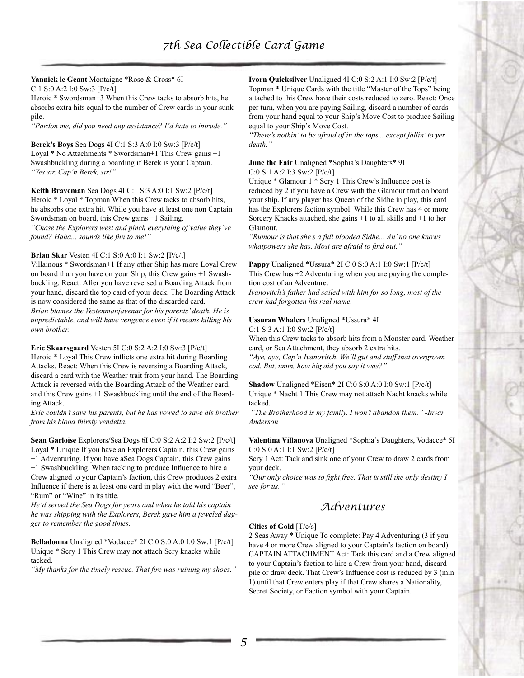#### **Yannick le Geant** Montaigne \*Rose & Cross\* 6I C:1 S:0 A:2 I:0 Sw:3 [P/c/t]

Heroic \* Swordsman+3 When this Crew tacks to absorb hits, he absorbs extra hits equal to the number of Crew cards in your sunk pile.

*"Pardon me, did you need any assistance? I'd hate to intrude."*

**Berek's Boys** Sea Dogs 4I C:1 S:3 A:0 I:0 Sw:3 [P/c/t] Loyal \* No Attachments \* Swordsman+1 This Crew gains +1 Swashbuckling during a boarding if Berek is your Captain. *"Yes sir, Cap'n Berek, sir!"*

**Keith Braveman** Sea Dogs 4I C:1 S:3 A:0 I:1 Sw:2 [P/c/t] Heroic \* Loyal \* Topman When this Crew tacks to absorb hits, he absorbs one extra hit. While you have at least one non Captain Swordsman on board, this Crew gains +1 Sailing. *"Chase the Explorers west and pinch everything of value they've found? Haha... sounds like fun to me!"*

## **Brian Skar** Vesten 4I C:1 S:0 A:0 I:1 Sw:2 [P/c/t]

Villainous \* Swordsman+1 If any other Ship has more Loyal Crew on board than you have on your Ship, this Crew gains +1 Swashbuckling. React: After you have reversed a Boarding Attack from your hand, discard the top card of your deck. The Boarding Attack is now considered the same as that of the discarded card. *Brian blames the Vestenmanjavenar for his parents' death. He is unpredictable, and will have vengence even if it means killing his own brother.*

#### **Eric Skaarsgaard** Vesten 5I C:0 S:2 A:2 I:0 Sw:3 [P/c/t]

Heroic \* Loyal This Crew inflicts one extra hit during Boarding Attacks. React: When this Crew is reversing a Boarding Attack, discard a card with the Weather trait from your hand. The Boarding Attack is reversed with the Boarding Attack of the Weather card, and this Crew gains +1 Swashbuckling until the end of the Boarding Attack.

*Eric couldn't save his parents, but he has vowed to save his brother from his blood thirsty vendetta.*

**Sean Garloise** Explorers/Sea Dogs 6I C:0 S:2 A:2 I:2 Sw:2 [P/c/t] Loyal \* Unique If you have an Explorers Captain, this Crew gains +1 Adventuring. If you have aSea Dogs Captain, this Crew gains +1 Swashbuckling. When tacking to produce Influence to hire a Crew aligned to your Captain's faction, this Crew produces 2 extra Influence if there is at least one card in play with the word "Beer", "Rum" or "Wine" in its title.

*He'd served the Sea Dogs for years and when he told his captain he was shipping with the Explorers, Berek gave him a jeweled dagger to remember the good times.*

**Belladonna** Unaligned \*Vodacce\* 2I C:0 S:0 A:0 I:0 Sw:1 [P/c/t] Unique \* Scry 1 This Crew may not attach Scry knacks while tacked.

*"My thanks for the timely rescue. That fire was ruining my shoes."*

**Ivorn Quicksilver** Unaligned 4I C:0 S:2 A:1 I:0 Sw:2 [P/c/t] Topman \* Unique Cards with the title "Master of the Tops" being attached to this Crew have their costs reduced to zero. React: Once per turn, when you are paying Sailing, discard a number of cards from your hand equal to your Ship's Move Cost to produce Sailing equal to your Ship's Move Cost.

*"There's nothin' to be afraid of in the tops... except fallin' to yer death."*

#### **June the Fair** Unaligned \*Sophia's Daughters\* 9I C:0 S:1 A:2 I:3 Sw:2 [P/c/t]

Unique \* Glamour 1 \* Scry 1 This Crew's Influence cost is reduced by 2 if you have a Crew with the Glamour trait on board your ship. If any player has Queen of the Sidhe in play, this card has the Explorers faction symbol. While this Crew has 4 or more Sorcery Knacks attached, she gains +1 to all skills and +1 to her Glamour.

*"Rumour is that she's a full blooded Sidhe... An' no one knows whatpowers she has. Most are afraid to find out."*

**Pappy** Unaligned \*Ussura\* 2I C:0 S:0 A:1 I:0 Sw:1 [P/c/t] This Crew has  $+2$  Adventuring when you are paying the completion cost of an Adventure.

*Ivanovitch's father had sailed with him for so long, most of the crew had forgotten his real name.*

## **Ussuran Whalers** Unaligned \*Ussura\* 4I

C:1 S:3 A:1 I:0 Sw:2 [P/c/t]

When this Crew tacks to absorb hits from a Monster card, Weather card, or Sea Attachment, they absorb 2 extra hits.

*"Aye, aye, Cap'n Ivanovitch. We'll gut and stuff that overgrown cod. But, umm, how big did you say it was?"*

**Shadow** Unaligned \*Eisen\* 2I C:0 S:0 A:0 I:0 Sw:1 [P/c/t] Unique \* Nacht 1 This Crew may not attach Nacht knacks while tacked.

 *"The Brotherhood is my family. I won't abandon them." -Invar Anderson*

## **Valentina Villanova** Unaligned \*Sophia's Daughters, Vodacce\* 5I C:0 S:0 A:1 I:1 Sw:2 [P/c/t]

Scry 1 Act: Tack and sink one of your Crew to draw 2 cards from your deck.

*"Our only choice was to fight free. That is still the only destiny I see for us."*

## *Adventures*

## **Cities of Gold** [T/c/s]

2 Seas Away \* Unique To complete: Pay 4 Adventuring (3 if you have 4 or more Crew aligned to your Captain's faction on board). CAPTAIN ATTACHMENT Act: Tack this card and a Crew aligned to your Captain's faction to hire a Crew from your hand, discard pile or draw deck. That Crew's Influence cost is reduced by 3 (min 1) until that Crew enters play if that Crew shares a Nationality, Secret Society, or Faction symbol with your Captain.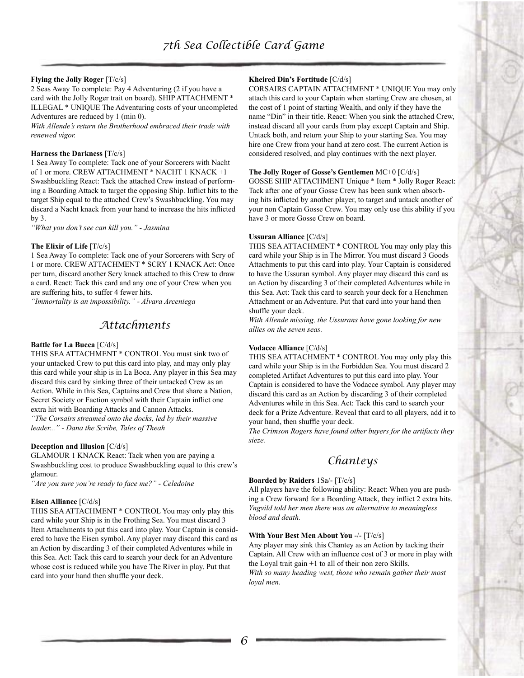## **Flying the Jolly Roger** [T/c/s]

2 Seas Away To complete: Pay 4 Adventuring (2 if you have a card with the Jolly Roger trait on board). SHIP ATTACHMENT \* ILLEGAL \* UNIQUE The Adventuring costs of your uncompleted Adventures are reduced by 1 (min 0).

*With Allende's return the Brotherhood embraced their trade with renewed vigor.*

## **Harness the Darkness** [T/c/s]

1 Sea Away To complete: Tack one of your Sorcerers with Nacht of 1 or more. CREW ATTACHMENT \* NACHT 1 KNACK +1 Swashbuckling React: Tack the attached Crew instead of performing a Boarding Attack to target the opposing Ship. Inflict hits to the target Ship equal to the attached Crew's Swashbuckling. You may discard a Nacht knack from your hand to increase the hits inflicted by 3.

*"What you don't see can kill you." - Jasmina*

## **The Elixir of Life** [T/c/s]

1 Sea Away To complete: Tack one of your Sorcerers with Scry of 1 or more. CREW ATTACHMENT \* SCRY 1 KNACK Act: Once per turn, discard another Scry knack attached to this Crew to draw a card. React: Tack this card and any one of your Crew when you are suffering hits, to suffer 4 fewer hits.

*"Immortality is an impossibility." - Alvara Arceniega*

# *Attachments*

## **Battle for La Bucca** [C/d/s]

THIS SEA ATTACHMENT \* CONTROL You must sink two of your untacked Crew to put this card into play, and may only play this card while your ship is in La Boca. Any player in this Sea may discard this card by sinking three of their untacked Crew as an Action. While in this Sea, Captains and Crew that share a Nation, Secret Society or Faction symbol with their Captain inflict one extra hit with Boarding Attacks and Cannon Attacks.

*"The Corsairs streamed onto the docks, led by their massive leader..." - Dana the Scribe, Tales of Theah*

## **Deception and Illusion** [C/d/s]

GLAMOUR 1 KNACK React: Tack when you are paying a Swashbuckling cost to produce Swashbuckling equal to this crew's glamour.

*"Are you sure you're ready to face me?" - Celedoine*

## **Eisen Alliance** [C/d/s]

THIS SEA ATTACHMENT \* CONTROL You may only play this card while your Ship is in the Frothing Sea. You must discard 3 Item Attachments to put this card into play. Your Captain is considered to have the Eisen symbol. Any player may discard this card as an Action by discarding 3 of their completed Adventures while in this Sea. Act: Tack this card to search your deck for an Adventure whose cost is reduced while you have The River in play. Put that card into your hand then shuffle your deck.

## **Kheired Din's Fortitude** [C/d/s]

CORSAIRS CAPTAIN ATTACHMENT \* UNIQUE You may only attach this card to your Captain when starting Crew are chosen, at the cost of 1 point of starting Wealth, and only if they have the name "Din" in their title. React: When you sink the attached Crew, instead discard all your cards from play except Captain and Ship. Untack both, and return your Ship to your starting Sea. You may hire one Crew from your hand at zero cost. The current Action is considered resolved, and play continues with the next player.

## **The Jolly Roger of Gosse's Gentlemen** MC+0 [C/d/s]

GOSSE SHIP ATTACHMENT Unique \* Item \* Jolly Roger React: Tack after one of your Gosse Crew has been sunk when absorbing hits inflicted by another player, to target and untack another of your non Captain Gosse Crew. You may only use this ability if you have 3 or more Gosse Crew on board.

## **Ussuran Alliance** [C/d/s]

THIS SEA ATTACHMENT \* CONTROL You may only play this card while your Ship is in The Mirror. You must discard 3 Goods Attachments to put this card into play. Your Captain is considered to have the Ussuran symbol. Any player may discard this card as an Action by discarding 3 of their completed Adventures while in this Sea. Act: Tack this card to search your deck for a Henchmen Attachment or an Adventure. Put that card into your hand then shuffle your deck.

*With Allende missing, the Ussurans have gone looking for new allies on the seven seas.*

## **Vodacce Alliance** [C/d/s]

THIS SEA ATTACHMENT \* CONTROL You may only play this card while your Ship is in the Forbidden Sea. You must discard 2 completed Artifact Adventures to put this card into play. Your Captain is considered to have the Vodacce symbol. Any player may discard this card as an Action by discarding 3 of their completed Adventures while in this Sea. Act: Tack this card to search your deck for a Prize Adventure. Reveal that card to all players, add it to your hand, then shuffle your deck.

*The Crimson Rogers have found other buyers for the artifacts they sieze.*

# *Chanteys*

## **Boarded by Raiders** 1Sa/- [T/c/s]

All players have the following ability: React: When you are pushing a Crew forward for a Boarding Attack, they inflict 2 extra hits. *Yngvild told her men there was an alternative to meaningless blood and death.*

## **With Your Best Men About You** -/- [T/c/s]

Any player may sink this Chantey as an Action by tacking their Captain. All Crew with an influence cost of 3 or more in play with the Loyal trait gain +1 to all of their non zero Skills. *With so many heading west, those who remain gather their most loyal men.*